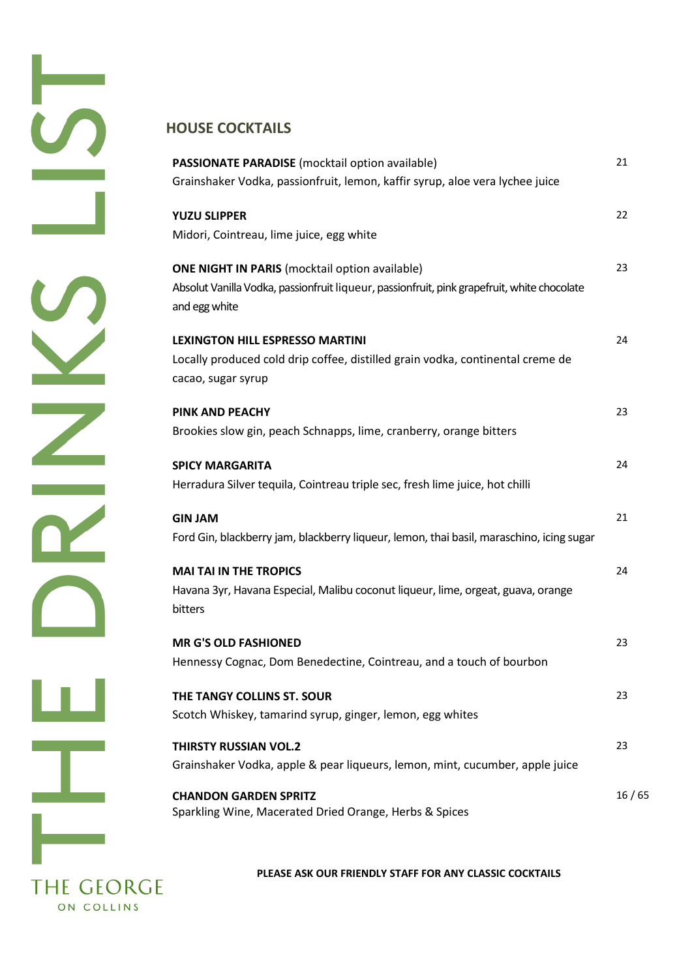$\overline{\mathbb{Z}}$  $\overline{\mathbf{r}}$  $\sqrt{2}$ ш T **THE GEORGE** ON COLLINS

# **HOUSE COCKTAILS**

| PASSIONATE PARADISE (mocktail option available)<br>Grainshaker Vodka, passionfruit, lemon, kaffir syrup, aloe vera lychee juice                                       | 21    |
|-----------------------------------------------------------------------------------------------------------------------------------------------------------------------|-------|
| <b>YUZU SLIPPER</b><br>Midori, Cointreau, lime juice, egg white                                                                                                       | 22    |
| <b>ONE NIGHT IN PARIS</b> (mocktail option available)<br>Absolut Vanilla Vodka, passionfruit liqueur, passionfruit, pink grapefruit, white chocolate<br>and egg white | 23    |
| <b>LEXINGTON HILL ESPRESSO MARTINI</b><br>Locally produced cold drip coffee, distilled grain vodka, continental creme de<br>cacao, sugar syrup                        | 24    |
| <b>PINK AND PEACHY</b><br>Brookies slow gin, peach Schnapps, lime, cranberry, orange bitters                                                                          | 23    |
| <b>SPICY MARGARITA</b><br>Herradura Silver tequila, Cointreau triple sec, fresh lime juice, hot chilli                                                                | 24    |
| <b>GIN JAM</b><br>Ford Gin, blackberry jam, blackberry liqueur, lemon, thai basil, maraschino, icing sugar                                                            | 21    |
| <b>MAI TAI IN THE TROPICS</b><br>Havana 3yr, Havana Especial, Malibu coconut liqueur, lime, orgeat, guava, orange<br>bitters                                          | 24    |
| <b>MR G'S OLD FASHIONED</b><br>Hennessy Cognac, Dom Benedectine, Cointreau, and a touch of bourbon                                                                    | 23    |
| THE TANGY COLLINS ST. SOUR<br>Scotch Whiskey, tamarind syrup, ginger, lemon, egg whites                                                                               | 23    |
| <b>THIRSTY RUSSIAN VOL.2</b><br>Grainshaker Vodka, apple & pear liqueurs, lemon, mint, cucumber, apple juice                                                          | 23    |
| <b>CHANDON GARDEN SPRITZ</b><br>Sparkling Wine, Macerated Dried Orange, Herbs & Spices                                                                                | 16/65 |

**PLEASE ASK OUR FRIENDLY STAFF FOR ANY CLASSIC COCKTAILS**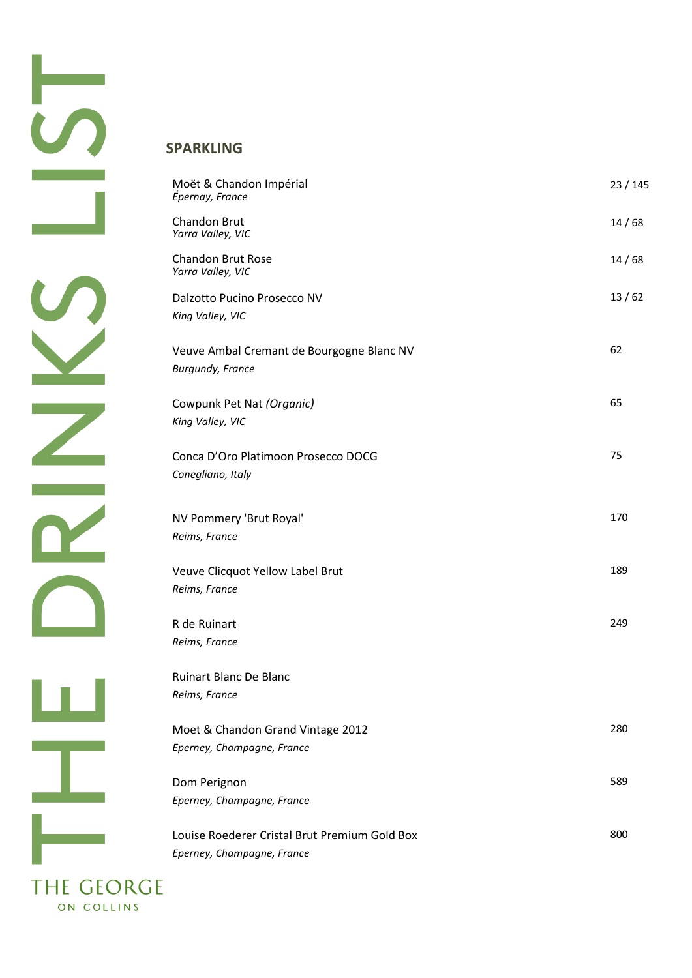# **SPARKLING**

| Moët & Chandon Impérial<br>Épernay, France                                  | 23 / 145 |
|-----------------------------------------------------------------------------|----------|
| Chandon Brut<br>Yarra Valley, VIC                                           | 14/68    |
| <b>Chandon Brut Rose</b><br>Yarra Valley, VIC                               | 14/68    |
| Dalzotto Pucino Prosecco NV<br>King Valley, VIC                             | 13/62    |
| Veuve Ambal Cremant de Bourgogne Blanc NV<br><b>Burgundy, France</b>        | 62       |
| Cowpunk Pet Nat (Organic)<br>King Valley, VIC                               | 65       |
| Conca D'Oro Platimoon Prosecco DOCG<br>Conegliano, Italy                    | 75       |
| NV Pommery 'Brut Royal'<br>Reims, France                                    | 170      |
| Veuve Clicquot Yellow Label Brut<br>Reims, France                           | 189      |
| R de Ruinart<br>Reims, France                                               | 249      |
| <b>Ruinart Blanc De Blanc</b><br>Reims, France                              |          |
| Moet & Chandon Grand Vintage 2012<br>Eperney, Champagne, France             | 280      |
| Dom Perignon<br>Eperney, Champagne, France                                  | 589      |
| Louise Roederer Cristal Brut Premium Gold Box<br>Eperney, Champagne, France | 800      |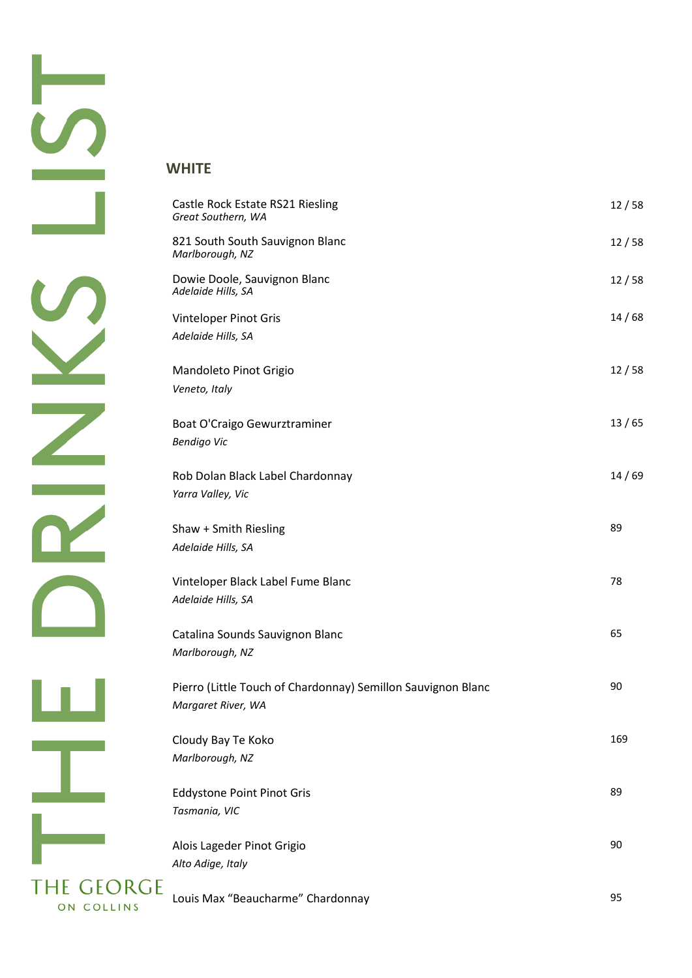$\overline{Z}$  $\overline{\mathbf{r}}$ UL. T  $\sim 10^{10}$  m  $^{-1}$ **THE GEORGE** ON COLLINS

### **WHITE**

| Castle Rock Estate RS21 Riesling                                                   | 12/58 |
|------------------------------------------------------------------------------------|-------|
| Great Southern, WA                                                                 |       |
| 821 South South Sauvignon Blanc<br>Marlborough, NZ                                 | 12/58 |
| Dowie Doole, Sauvignon Blanc<br>Adelaide Hills, SA                                 | 12/58 |
| Vinteloper Pinot Gris<br>Adelaide Hills, SA                                        | 14/68 |
| Mandoleto Pinot Grigio<br>Veneto, Italy                                            | 12/58 |
| Boat O'Craigo Gewurztraminer<br><b>Bendigo Vic</b>                                 | 13/65 |
| Rob Dolan Black Label Chardonnay<br>Yarra Valley, Vic                              | 14/69 |
| Shaw + Smith Riesling<br>Adelaide Hills, SA                                        | 89    |
| Vinteloper Black Label Fume Blanc<br>Adelaide Hills, SA                            | 78    |
| Catalina Sounds Sauvignon Blanc<br>Marlborough, NZ                                 | 65    |
| Pierro (Little Touch of Chardonnay) Semillon Sauvignon Blanc<br>Margaret River, WA | 90    |
| Cloudy Bay Te Koko<br>Marlborough, NZ                                              | 169   |
| <b>Eddystone Point Pinot Gris</b><br>Tasmania, VIC                                 | 89    |
| Alois Lageder Pinot Grigio<br>Alto Adige, Italy                                    | 90    |
| Louis Max "Beaucharme" Chardonnay                                                  | 95    |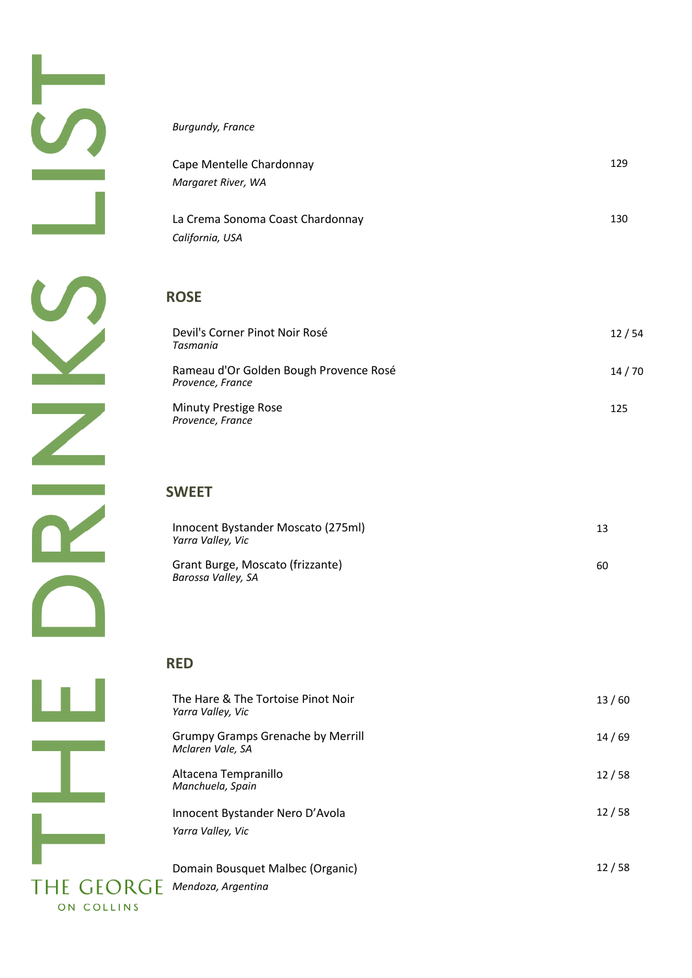#### *Burgundy, France*

| Cape Mentelle Chardonnay                            | 129 |
|-----------------------------------------------------|-----|
| Margaret River, WA                                  |     |
| La Crema Sonoma Coast Chardonnay<br>California, USA | 130 |
|                                                     |     |

### **ROSE**

| Devil's Corner Pinot Noir Rosé<br>Tasmania                 | 12/54   |
|------------------------------------------------------------|---------|
| Rameau d'Or Golden Bough Provence Rosé<br>Provence, France | 14 / 70 |
| <b>Minuty Prestige Rose</b><br>Provence, France            | 125     |

## **SWEET**

| Innocent Bystander Moscato (275ml)<br>Yarra Valley, Vic | 13. |
|---------------------------------------------------------|-----|
| Grant Burge, Moscato (frizzante)<br>Barossa Valley, SA  | 60. |

#### **RED**

| The Hare & The Tortoise Pinot Noir<br>Yarra Valley, Vic      | 13/60 |
|--------------------------------------------------------------|-------|
| <b>Grumpy Gramps Grenache by Merrill</b><br>Mclaren Vale, SA | 14/69 |
| Altacena Tempranillo<br>Manchuela, Spain                     | 12/58 |
| Innocent Bystander Nero D'Avola<br>Yarra Valley, Vic         | 12/58 |
| Domain Bousquet Malbec (Organic)                             | 12/58 |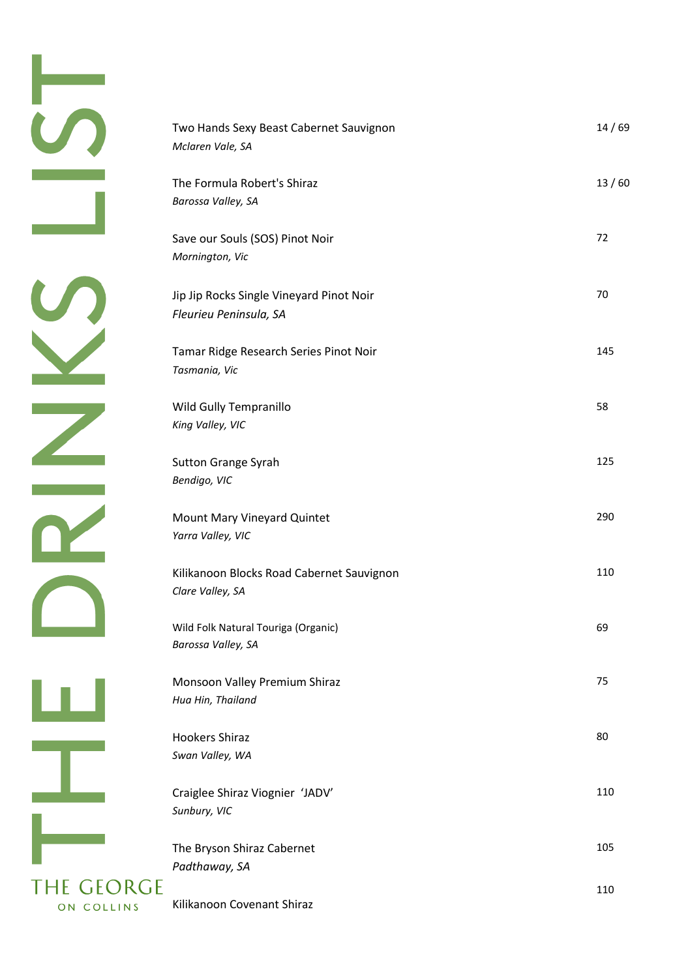$\mathbb{Z}$  $\overline{\mathbf{R}}$  $\sqrt{2}$ <u>u.</u> T **THE GEORGE** ON COLLINS

| Two Hands Sexy Beast Cabernet Sauvignon<br>Mclaren Vale, SA        | 14/69 |
|--------------------------------------------------------------------|-------|
| The Formula Robert's Shiraz<br>Barossa Valley, SA                  | 13/60 |
| Save our Souls (SOS) Pinot Noir<br>Mornington, Vic                 | 72    |
| Jip Jip Rocks Single Vineyard Pinot Noir<br>Fleurieu Peninsula, SA | 70    |
| Tamar Ridge Research Series Pinot Noir<br>Tasmania, Vic            | 145   |
| Wild Gully Tempranillo<br>King Valley, VIC                         | 58    |
| <b>Sutton Grange Syrah</b><br>Bendigo, VIC                         | 125   |
| Mount Mary Vineyard Quintet<br>Yarra Valley, VIC                   | 290   |
| Kilikanoon Blocks Road Cabernet Sauvignon<br>Clare Valley, SA      | 110   |
| Wild Folk Natural Touriga (Organic)<br>Barossa Valley, SA          | 69    |
| Monsoon Valley Premium Shiraz<br>Hua Hin, Thailand                 | 75    |
| <b>Hookers Shiraz</b><br>Swan Valley, WA                           | 80    |
| Craiglee Shiraz Viognier 'JADV'<br>Sunbury, VIC                    | 110   |
| The Bryson Shiraz Cabernet<br>Padthaway, SA                        | 105   |
| Kilikanoon Covenant Shiraz                                         | 110   |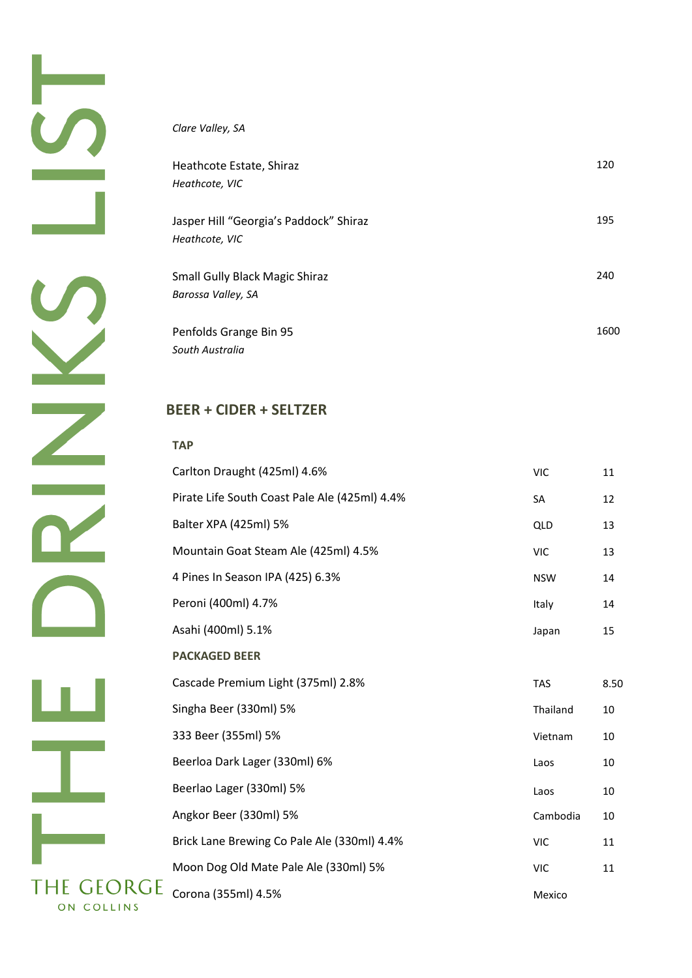#### *Clare Valley, SA*

| Heathcote Estate, Shiraz<br>Heathcote, VIC               | 120  |
|----------------------------------------------------------|------|
| Jasper Hill "Georgia's Paddock" Shiraz<br>Heathcote, VIC | 195  |
| Small Gully Black Magic Shiraz<br>Barossa Valley, SA     | 240  |
| Penfolds Grange Bin 95<br>South Australia                | 1600 |

## **BEER + CIDER + SELTZER**

| <b>TAP</b>                                    |            |      |
|-----------------------------------------------|------------|------|
| Carlton Draught (425ml) 4.6%                  | <b>VIC</b> | 11   |
| Pirate Life South Coast Pale Ale (425ml) 4.4% | SA         | 12   |
| Balter XPA (425ml) 5%                         | QLD        | 13   |
| Mountain Goat Steam Ale (425ml) 4.5%          | <b>VIC</b> | 13   |
| 4 Pines In Season IPA (425) 6.3%              | <b>NSW</b> | 14   |
| Peroni (400ml) 4.7%                           | Italy      | 14   |
| Asahi (400ml) 5.1%                            | Japan      | 15   |
| <b>PACKAGED BEER</b>                          |            |      |
| Cascade Premium Light (375ml) 2.8%            | <b>TAS</b> | 8.50 |
| Singha Beer (330ml) 5%                        | Thailand   | 10   |
| 333 Beer (355ml) 5%                           | Vietnam    | 10   |
|                                               |            |      |
| Beerloa Dark Lager (330ml) 6%                 | Laos       | 10   |
| Beerlao Lager (330ml) 5%                      | Laos       | 10   |
| Angkor Beer (330ml) 5%                        | Cambodia   | 10   |
| Brick Lane Brewing Co Pale Ale (330ml) 4.4%   | <b>VIC</b> | 11   |
| Moon Dog Old Mate Pale Ale (330ml) 5%         | <b>VIC</b> | 11   |